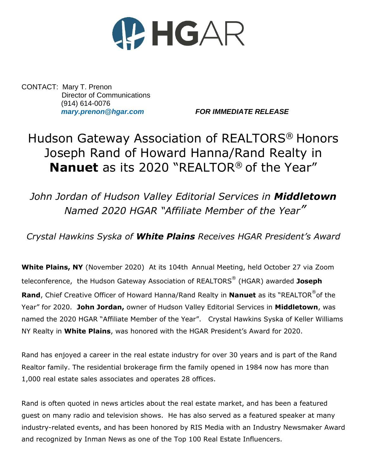

CONTACT: Mary T. Prenon Director of Communications (914) 614-0076

*[mary.prenon@hgar.com](mailto:mary.prenon@hgar.com) FOR IMMEDIATE RELEASE*

## Hudson Gateway Association of REALTORS® Honors Joseph Rand of Howard Hanna/Rand Realty in **Nanuet** as its 2020 "REALTOR® of the Year"

*John Jordan of Hudson Valley Editorial Services in Middletown Named 2020 HGAR "Affiliate Member of the Year"*

*Crystal Hawkins Syska of White Plains Receives HGAR President's Award*

**White Plains, NY** (November 2020) At its 104th Annual Meeting, held October 27 via Zoom teleconference, the Hudson Gateway Association of REALTORS® (HGAR) awarded **Joseph Rand**, Chief Creative Officer of Howard Hanna/Rand Realty in **Nanuet** as its "REALTOR® of the Year" for 2020. **John Jordan,** owner of Hudson Valley Editorial Services in **Middletown**, was named the 2020 HGAR "Affiliate Member of the Year". Crystal Hawkins Syska of Keller Williams NY Realty in **White Plains**, was honored with the HGAR President's Award for 2020.

Rand has enjoyed a career in the real estate industry for over 30 years and is part of the Rand Realtor family. The residential brokerage firm the family opened in 1984 now has more than 1,000 real estate sales associates and operates 28 offices.

Rand is often quoted in news articles about the real estate market, and has been a featured guest on many radio and television shows. He has also served as a featured speaker at many industry-related events, and has been honored by RIS Media with an Industry Newsmaker Award and recognized by Inman News as one of the Top 100 Real Estate Influencers.